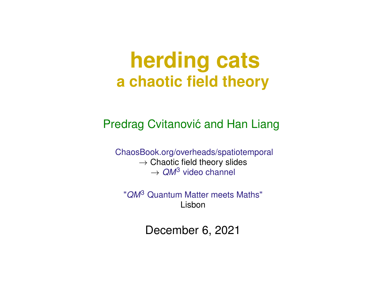# **herding cats a chaotic field theory**

#### Predrag Cvitanović and Han Liang

[ChaosBook.org/overheads/spatiotemporal](https://ChaosBook.org/overheads/spatiotemporal)  $\rightarrow$  Chaotic field theory slides  $\rightarrow$   $OM^3$  [video channel](https://educast.fccn.pt/vod/channels/1x4mvd1fjn)

"*QM*<sup>3</sup> [Quantum Matter meets Maths"](https://qm3.tecnico.ulisboa.pt/seminars?id=6461) Lisbon

December 6, 2021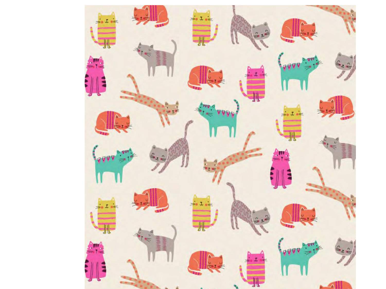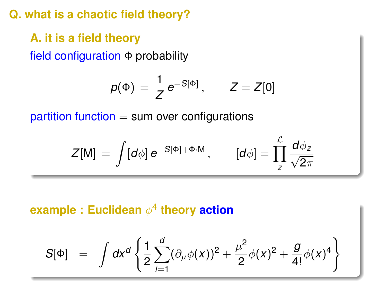**Q. what is a chaotic field theory?**

**A. it is a field theory**

field configuration Φ probability

$$
p(\Phi) = \frac{1}{Z} e^{-S[\Phi]}, \qquad Z = Z[0]
$$

 $partition function = sum over configurations$ 

$$
Z[M] = \int [d\phi] e^{-S[\Phi] + \Phi \cdot M}, \qquad [d\phi] = \prod_{z}^{\mathcal{L}} \frac{d\phi_{z}}{\sqrt{2\pi}}
$$

### **example : Euclidean** φ 4 **theory action**

$$
S[\Phi] = \int dx^d \left\{ \frac{1}{2} \sum_{i=1}^d (\partial_\mu \phi(x))^2 + \frac{\mu^2}{2} \phi(x)^2 + \frac{g}{4!} \phi(x)^4 \right\}
$$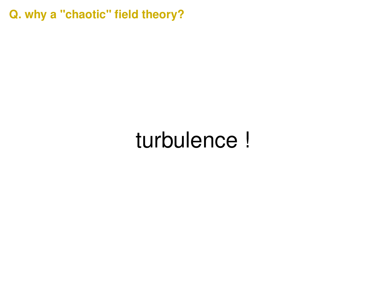**Q. why a "chaotic" field theory?**

# turbulence !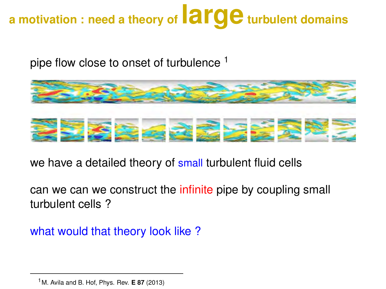# **a motivation : need a theory of largeturbulent domains**

pipe flow close to onset of turbulence<sup>1</sup>



we have a detailed theory of small turbulent fluid cells

can we can we construct the infinite pipe by coupling small turbulent cells ?

what would that theory look like?

<sup>1</sup>M. Avila and B. Hof, Phys. Rev. **E 87** (2013)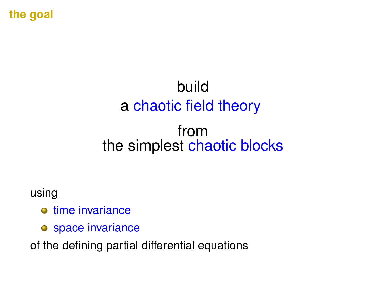**the goal**

## build a chaotic field theory from the simplest chaotic blocks

using

- **o** time invariance
- o space invariance

of the defining partial differential equations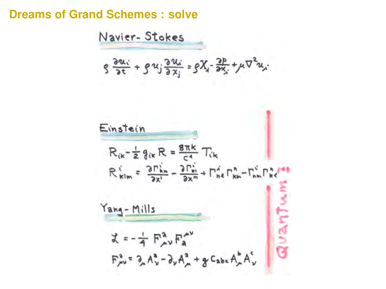#### **Dreams of Grand Schemes : solve**

Navier- Stokes

\n
$$
8 \frac{2ax}{3t} + 9x \frac{2bx}{3x_1} = 8x - \frac{2b}{3x} + \mu \nabla^2 u
$$
\nExplain

\n
$$
R_{ik} = \frac{1}{2} g_{ik} R = \frac{8\pi k}{c^4} T_{ik}
$$
\n
$$
R_{klm} = \frac{2\Gamma_{km}^{i}}{2x!} - \frac{2\Gamma_{km}^{i}}{2x^{m}} + \Gamma_{mk}^{i} \Gamma_{km}^{n} - \Gamma_{mn}^{i} \Gamma_{km}^{n}
$$
\n
$$
X = -\frac{1}{4} F_{ik}^{n} \Psi_{km}^{n}
$$
\n
$$
F_{km}^{n} = 2 A_{ik}^{n} - \partial_{k} A_{ik}^{n} + g C_{abc} A_{ik}^{b} A_{ik}^{c}
$$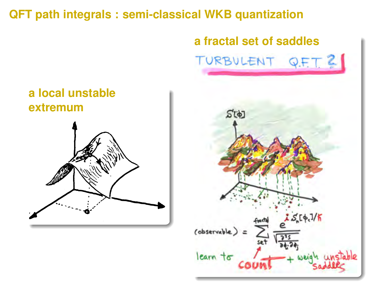#### **QFT path integrals : semi-classical WKB quantization**

**a fractal set of saddles**



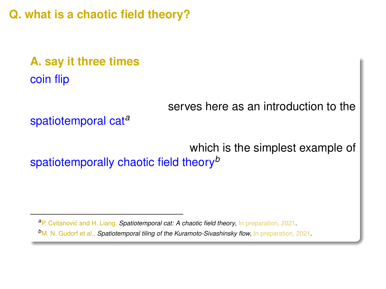**Q. what is a chaotic field theory?**

## **A. say it three times** coin flip

serves here as an introduction to the

spatiotemporal cat*<sup>a</sup>*

which is the simplest example of

spatiotemporally chaotic field theory*<sup>b</sup>*

<sup>a</sup>P. Cvitanović and H. Liang, *Spatiotemporal cat: A chaotic field theory*, In preparation, 2021.

*<sup>b</sup>*M. N. Gudorf et al., *Spatiotemporal tiling of the Kuramoto-Sivashinsky flow*, In preparation, 2021.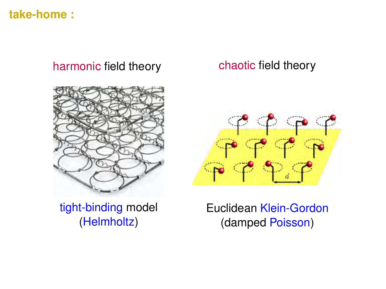#### **take-home :**

harmonic field theory



### chaotic field theory



tight-binding model (Helmholtz)

Euclidean Klein-Gordon (damped Poisson)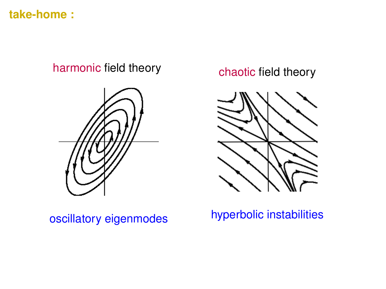#### **take-home :**

harmonic field theory



oscillatory eigenmodes

#### chaotic field theory



hyperbolic instabilities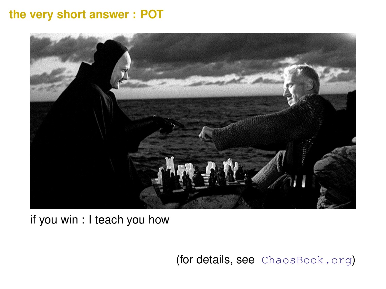#### **the very short answer : POT**



if you win : I teach you how

(for details, see [ChaosBook.org](http://ChaosBook.org))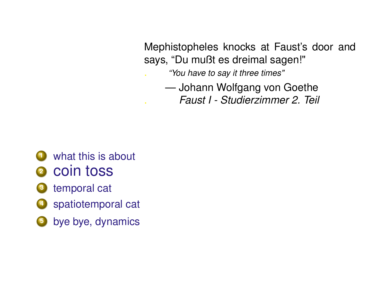Mephistopheles knocks at Faust's door and says, "Du mußt es dreimal sagen!"

- . *"You have to say it three times"*
	- Johann Wolfgang von Goethe
	- . *Faust I Studierzimmer 2. Teil*

- **<sup>1</sup>** [what this is about](http://ChaosBook.org/overheads/spatiotemporal/why.pdf) **<sup>2</sup>** [coin toss](http://ChaosBook.org/overheads/spatiotemporal/Bernoulli.pdf)
- **<sup>3</sup>** [temporal cat](http://ChaosBook.org/overheads/spatiotemporal/templatt.pdf)
- **<sup>4</sup>** [spatiotemporal cat](http://ChaosBook.org/overheads/spatiotemporal/catlatt.pdf)
- **<sup>5</sup>** [bye bye, dynamics](http://ChaosBook.org/overheads/spatiotemporal/timeDead.pdf)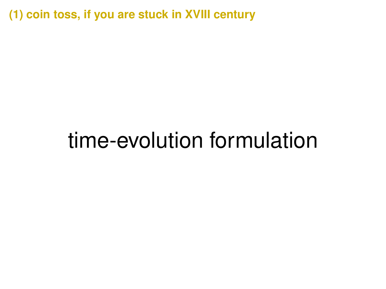**(1) coin toss, if you are stuck in XVIII century**

# time-evolution formulation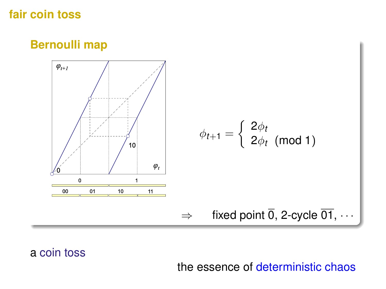#### **fair coin toss**

### **Bernoulli map**



a [coin toss](https://www.random.org/coins/?num=2&cur=40-antique.aurelian)

the essence of deterministic chaos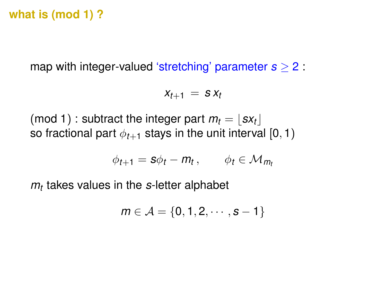#### **what is (mod 1) ?**

map with integer-valued 'stretching' parameter  $s \geq 2$ :

$$
x_{t+1} = s x_t
$$

(mod 1) : subtract the integer part  $m_t = |sx_t|$ so fractional part  $\phi_{t+1}$  stays in the unit interval [0, 1)

$$
\phi_{t+1} = \mathbf{s}\phi_t - \mathbf{m}_t, \qquad \phi_t \in \mathcal{M}_{m_t}
$$

*mt* takes values in the *s*-letter alphabet

$$
m\in\mathcal{A}=\{0,1,2,\cdots,s-1\}
$$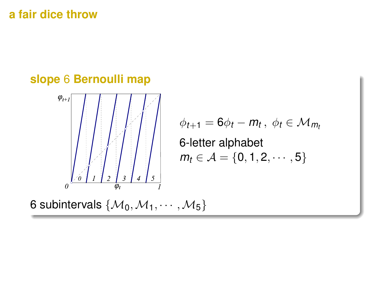### **a fair dice throw**

#### **slope** 6 **Bernoulli map**



$$
\phi_{t+1} = 6\phi_t - m_t, \ \phi_t \in \mathcal{M}_{m_t}
$$
  
6-letter alphabet  

$$
m_t \in \mathcal{A} = \{0, 1, 2, \cdots, 5\}
$$

6 subintervals  $\{M_0, M_1, \cdots, M_5\}$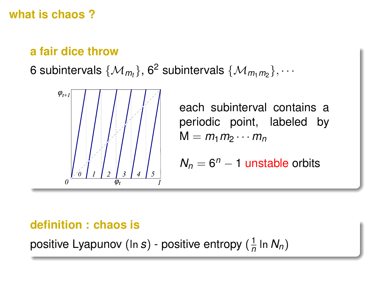#### **what is chaos ?**

#### **a fair dice throw**

6 subintervals  $\{\mathcal{M}_{m_{t}}\}$ , 6<sup>2</sup> subintervals  $\{\mathcal{M}_{m_{1}m_{2}}\},\cdots$ 



each subinterval contains a periodic point, labeled by  $M = m_1 m_2 \cdots m_n$ 

$$
N_n = 6^n - 1
$$
 unstable orbits

#### **definition : chaos is**

positive Lyapunov (ln *s*) - positive entropy ( 1  $\frac{1}{n}$  ln  $N_n$ )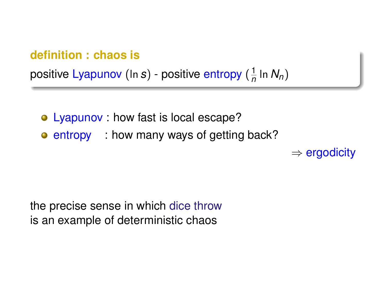#### **definition : chaos is**

positive Lyapunov (ln *s*) - positive entropy ( 1  $\frac{1}{n}$  In  $N_n$ )

- Lyapunov : how fast is local escape?
- **entropy** : how many ways of getting back?

⇒ ergodicity

the precise sense in which [dice throw](https://www.random.org/dice/) is an example of deterministic chaos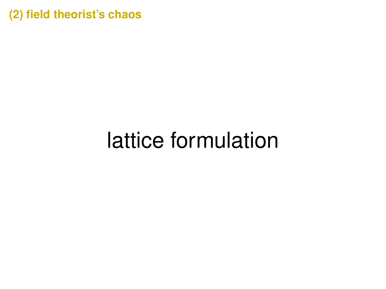**(2) field theorist's chaos**

# lattice formulation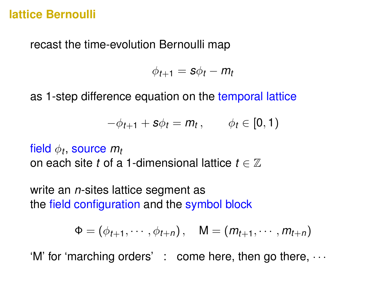#### **lattice Bernoulli**

recast the time-evolution Bernoulli map

$$
\phi_{t+1} = \mathbf{s}\phi_t - \mathbf{m}_t
$$

as 1-step difference equation on the temporal lattice

$$
-\phi_{t+1} + s\phi_t = m_t, \qquad \phi_t \in [0,1)
$$

field  $\phi_t$ , source  $m_t$ on each site *t* of a 1-dimensional lattice  $t \in \mathbb{Z}$ 

write an *n*-sites lattice segment as the field configuration and the symbol block

$$
\Phi=(\phi_{t+1},\cdots,\phi_{t+n}),\quad M=(m_{t+1},\cdots,m_{t+n})
$$

'M' for 'marching orders' : come here, then go there,  $\cdots$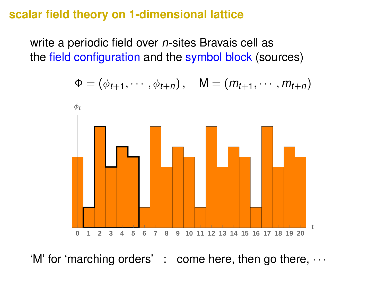#### **scalar field theory on 1-dimensional lattice**

write a periodic field over *n*-sites Bravais cell as the field configuration and the symbol block (sources)

$$
\Phi=(\phi_{t+1},\cdots,\phi_{t+n}),\quad M=(m_{t+1},\cdots,m_{t+n})
$$



'M' for 'marching orders' : come here, then go there,  $\cdots$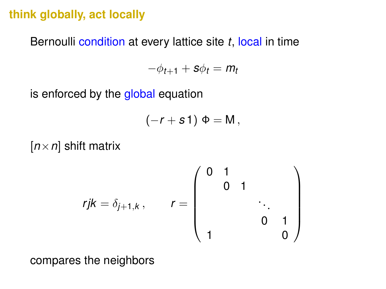#### **think globally, act locally**

Bernoulli condition at every lattice site *t*, local in time

$$
-\phi_{t+1} + s\phi_t = m_t
$$

is enforced by the global equation

$$
(-r+s1)\Phi=M\,,
$$

[*n*×*n*] shift matrix

$$
rjk = \delta_{j+1,k}, \qquad r = \begin{pmatrix} 0 & 1 & & & \\ & 0 & 1 & & \\ & & & \ddots & \\ & & & & 0 & 1 \\ 1 & & & & 0 \end{pmatrix}
$$

compares the neighbors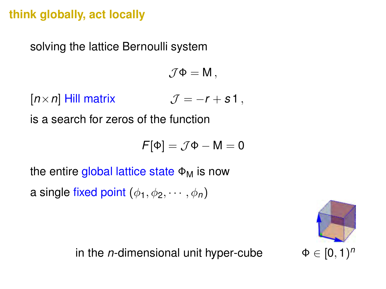### **think globally, act locally**

solving the lattice Bernoulli system

 $J\Phi = M$ .

 $[n \times n]$  Hill matrix  $\mathcal{J} = -r + s$  1,

is a search for zeros of the function

$$
\digamma[\Phi]=\mathcal{J}\Phi-M=0
$$

the entire global lattice state  $\Phi_M$  is now a single fixed point  $(\phi_1, \phi_2, \cdots, \phi_n)$ 



in the *n*-dimensional unit hyper-cube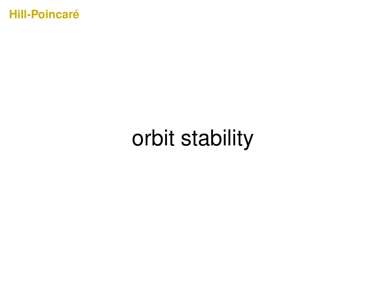

# orbit stability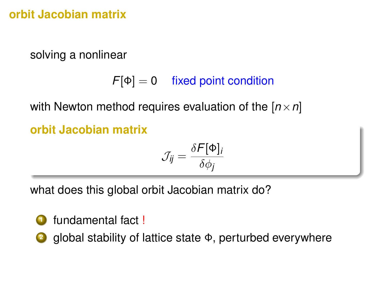#### **orbit Jacobian matrix**

solving a nonlinear

 $F[\Phi] = 0$  fixed point condition

with Newton method requires evaluation of the [*n*×*n*]

**orbit Jacobian matrix**

$$
\mathcal{J}_{ij} = \frac{\delta F[\Phi]_i}{\delta \phi_j}
$$

what does this global orbit Jacobian matrix do?

- **<sup>1</sup>** fundamental fact !
- **<sup>2</sup>** global stability of lattice state Φ, perturbed everywhere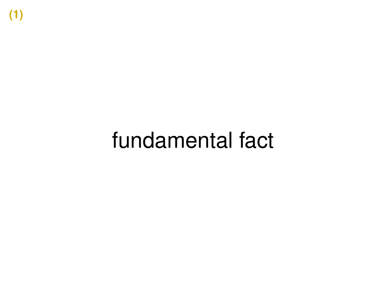# fundamental fact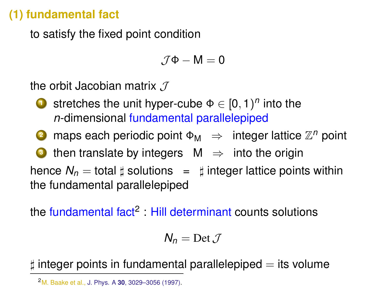### **(1) fundamental fact**

to satisfy the fixed point condition

$$
\mathcal{J}\Phi-M=0
$$

the orbit Jacobian matrix  $J$ 

- **1** stretches the unit hyper-cube  $\Phi \in [0, 1)^n$  into the *n*-dimensional fundamental parallelepiped
- **2** maps each periodic point Φ<sub>M</sub>  $\Rightarrow$  integer lattice  $\mathbb{Z}^n$  point
- **3** then translate by integers  $M \Rightarrow$  into the origin

hence  $N_n =$  total  $\sharp$  solutions  $=$   $\sharp$  integer lattice points within the fundamental parallelepiped

the fundamental fact<sup>2</sup> : Hill determinant counts solutions

$$
N_n=\mathrm{Det}\,\mathcal{J}
$$

 $\sharp$  integer points in fundamental parallelepiped  $=$  its volume

<sup>2</sup>M. Baake et al., J. Phys. A **30**[, 3029–3056 \(1997\).](https://doi.org/10.1088/0305-4470/30/9/016)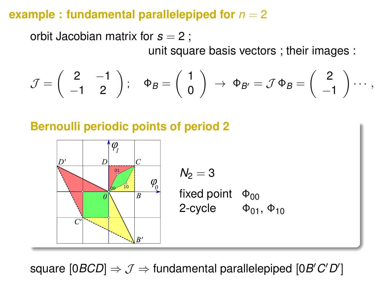#### **example : fundamental parallelepiped for**  $n = 2$

orbit Jacobian matrix for  $s = 2$ :

unit square basis vectors ; their images :

$$
\mathcal{J}=\left(\begin{array}{cc}2 & -1 \\-1 & 2\end{array}\right);\quad \Phi_B=\left(\begin{array}{c}1 \\0\end{array}\right)\;\rightarrow\; \Phi_{B'}=\mathcal{J}\,\Phi_B=\left(\begin{array}{c}2 \\-1\end{array}\right)\cdots,
$$

#### **Bernoulli periodic points of period 2**



square  $[0BCD] \Rightarrow J \Rightarrow$  fundamental parallelepiped  $[0B'C'D']$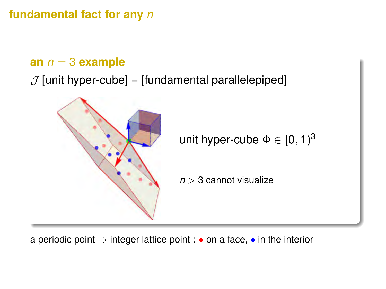#### **fundamental fact for any** *n*

**an** *n* = 3 **example**  $J$  [unit hyper-cube] = [fundamental parallelepiped]



unit hyper-cube  $\Phi \in [0,1)^3$ 

*n* > 3 cannot visualize

a periodic point ⇒ integer lattice point : • on a face, • in the interior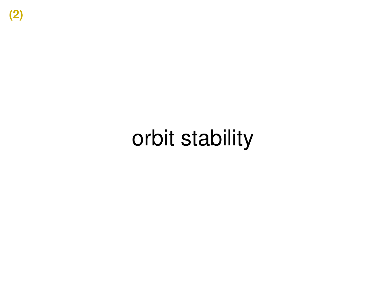# orbit stability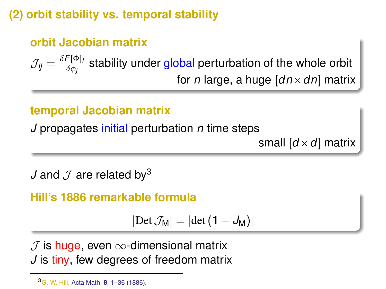### **(2) orbit stability vs. temporal stability**

### **orbit Jacobian matrix**

 $\mathcal{J}_{ij} = \frac{\delta F[\Phi]_i}{\delta \phi_i}$ δφ*<sup>j</sup>* stability under global perturbation of the whole orbit for *n* large, a huge [*dn*×*dn*] matrix

#### **temporal Jacobian matrix**

*J* propagates initial perturbation *n* time steps

small [*d*×*d*] matrix

*J* and  $J$  are related by<sup>3</sup>

**Hill's 1886 remarkable formula**

 $|Det \mathcal{J}_M| = |det(\mathbf{1} - \mathcal{J}_M)|$ 

 $J$  is huge, even  $\infty$ -dimensional matrix *J* is tiny, few degrees of freedom matrix

<sup>3</sup>G. W. Hill, Acta Math. **8**[, 1–36 \(1886\).](https://doi.org/10.1007/bf02417081)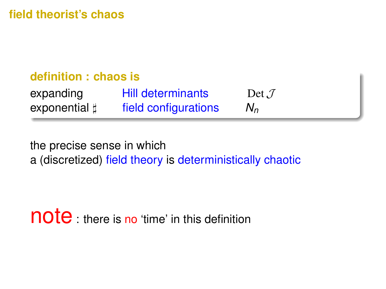#### **field theorist's chaos**

#### **definition : chaos is**

| expanding            | <b>Hill determinants</b> | Det $\mathcal J$ |
|----------------------|--------------------------|------------------|
| exponential $\sharp$ | field configurations     | $N_{n}$          |

the precise sense in which a (discretized) field theory is deterministically chaotic

## note : there is no 'time' in this definition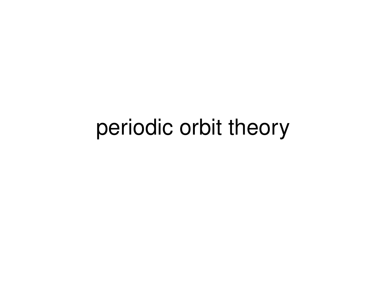# periodic orbit theory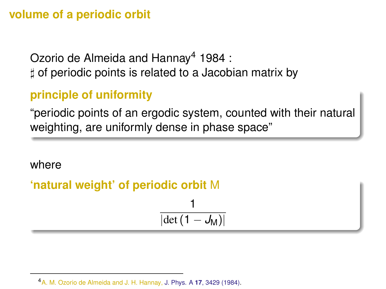#### **volume of a periodic orbit**

Ozorio de Almeida and Hannay<sup>4</sup> 1984 :  $\sharp$  of periodic points is related to a Jacobian matrix by

#### **principle of uniformity**

"periodic points of an ergodic system, counted with their natural weighting, are uniformly dense in phase space"

where

**'natural weight' of periodic orbit** M

$$
\frac{1}{\left|\det\left(1-J_{\text{M}}\right)\right|}
$$

<sup>4</sup>A. M. Ozorio de Almeida and J. H. Hannay, J. Phys. A **17**[, 3429 \(1984\).](https://doi.org/10.1088/0305-4470/17/18/013)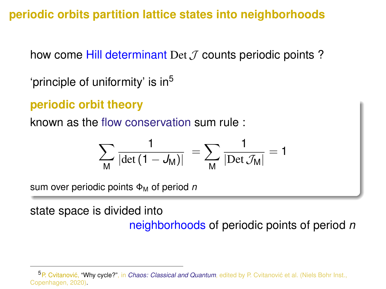**periodic orbits partition lattice states into neighborhoods**

how come Hill determinant Det  $J$  counts periodic points ?

'principle of uniformity' is in<sup>5</sup>

**periodic orbit theory**

known as the [flow conservation](http://chaosbook.org/chapters/ChaosBook.pdf#section.27.4) sum rule :

$$
\sum_{\mathsf{M}}\frac{1}{\left|\det\left(1-J_{\mathsf{M}}\right)\right|}\ =\sum_{\mathsf{M}}\frac{1}{\left|\mathrm{Det}\,\mathcal{J}_{\mathsf{M}}\right|}=1
$$

sum over periodic points Φ<sub>M</sub> of period *n* 

state space is divided into neighborhoods of periodic points of period *n*

<sup>5</sup>P. Cvitanovic,´ "Why cycle?", in *[Chaos: Classical and Quantum](http://ChaosBook.org/paper.shtml#getused)*, edited by P. Cvitanovic et al. (Niels Bohr Inst., ´ Copenhagen, 2020).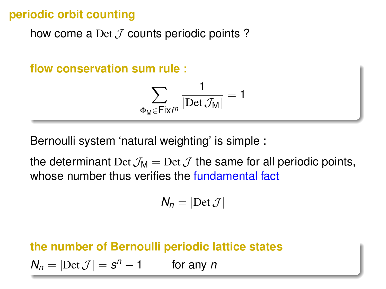#### **periodic orbit counting**

how come a Det  $J$  counts periodic points ?

**flow conservation sum rule :**

$$
\sum_{\Phi_{\mathsf{M}}\in\mathsf{Fix}f^n}\frac{1}{|\text{Det}\,\mathcal{J}_{\mathsf{M}}|}=1
$$

Bernoulli system 'natural weighting' is simple :

the determinant Det  $J_M = Det J$  the same for all periodic points, whose number thus verifies the fundamental fact

$$
N_n = |\mathrm{Det}\,\mathcal{J}|
$$

**the number of Bernoulli periodic lattice states**  $N_n = |\text{Det }\mathcal{J}| = s^n - 1$  for any *n*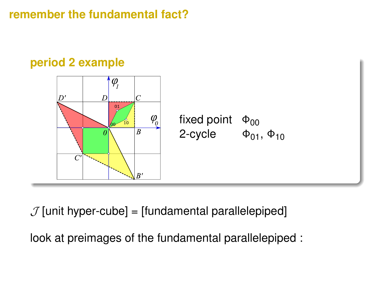## **remember the fundamental fact?**

## **period 2 example**



 $J$  [unit hyper-cube] = [fundamental parallelepiped]

look at preimages of the fundamental parallelepiped :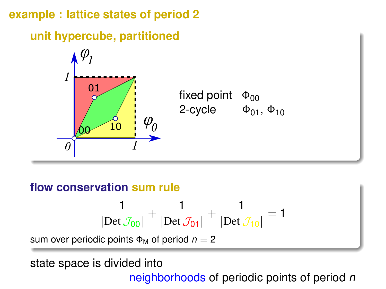## **example : lattice states of period 2**

**unit hypercube, partitioned**



**[flow conservation](http://chaosbook.org/chapters/ChaosBook.pdf#section.27.4) sum rule**

$$
\frac{1}{|\text{Det } \mathcal{J}_{00}|} + \frac{1}{|\text{Det } \mathcal{J}_{01}|} + \frac{1}{|\text{Det } \mathcal{J}_{10}|} = 1
$$

sum over periodic points  $\Phi_M$  of period  $n = 2$ 

state space is divided into

neighborhoods of periodic points of period *n*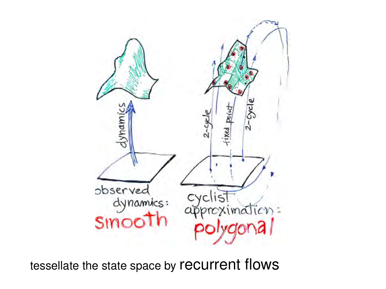

tessellate the state space by recurrent flows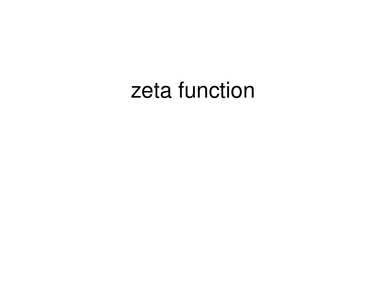## zeta function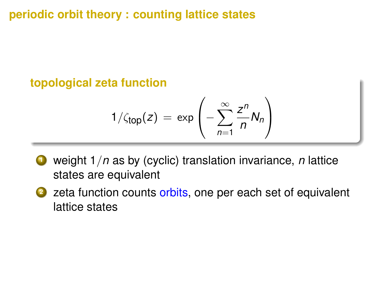**periodic orbit theory : counting lattice states**

## **topological zeta function**

$$
1/\zeta_{\text{top}}(z) = \exp\left(-\sum_{n=1}^{\infty} \frac{z^n}{n} N_n\right)
$$

- **<sup>1</sup>** weight 1/*n* as by (cyclic) translation invariance, *n* lattice states are equivalent
- **2** zeta function counts orbits, one per each set of equivalent lattice states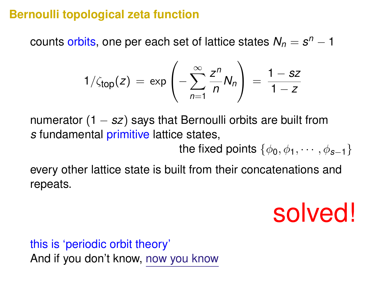### **Bernoulli topological zeta function**

counts orbits, one per each set of lattice states  $N_n = s^n - 1$ 

$$
1/\zeta_{\text{top}}(z) = \exp\left(-\sum_{n=1}^{\infty} \frac{z^n}{n} N_n\right) = \frac{1 - sz}{1 - z}
$$

numerator (1 – *sz*) says that Bernoulli orbits are built from *s* fundamental primitive lattice states,

the fixed points  $\{\phi_0, \phi_1, \cdots, \phi_{s-1}\}$ 

every other lattice state is built from their concatenations and repeats.

solved!

this is 'periodic orbit theory' And if you don't know, [now you know](https://www.youtube.com/watch?v=_JZom_gVfuw)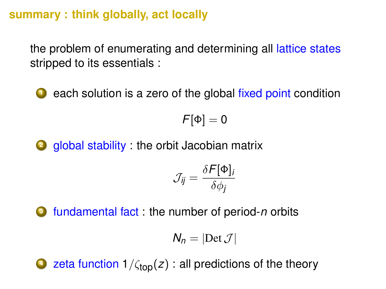#### **summary : think globally, act locally**

the problem of enumerating and determining all lattice states stripped to its essentials :

**1** each solution is a zero of the global fixed point condition

 $F[\Phi] = 0$ 

**<sup>2</sup>** global stability : the orbit Jacobian matrix

$$
\mathcal{J}_{ij} = \frac{\delta F[\Phi]_i}{\delta \phi_j}
$$

**<sup>3</sup>** fundamental fact : the number of period-*n* orbits

$$
N_n = |\text{Det }\mathcal{J}|
$$

**4** zeta function  $1/\zeta_{\text{top}}(z)$  : all predictions of the theory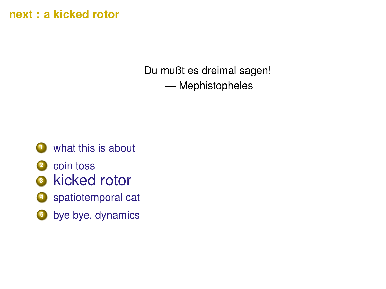### **next : a kicked rotor**

Du mußt es dreimal sagen! — Mephistopheles

- [what this is about](http://ChaosBook.org/overheads/spatiotemporal/why.pdf)
- [coin toss](http://ChaosBook.org/overheads/spatiotemporal/Bernoulli.pdf)
- [kicked rotor](http://ChaosBook.org/overheads/spatiotemporal/templatt.pdf)
- [spatiotemporal cat](http://ChaosBook.org/overheads/spatiotemporal/catlatt.pdf)
- [bye bye, dynamics](http://ChaosBook.org/overheads/spatiotemporal/timeDead.pdf)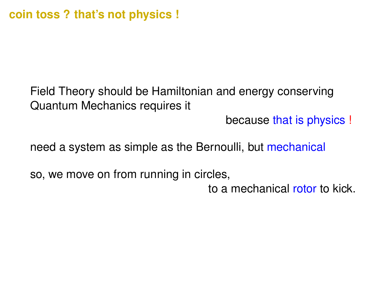Field Theory should be Hamiltonian and energy conserving Quantum Mechanics requires it

because that is physics !

need a system as simple as the Bernoulli, but mechanical

so, we move on from running in circles,

to a mechanical rotor to kick.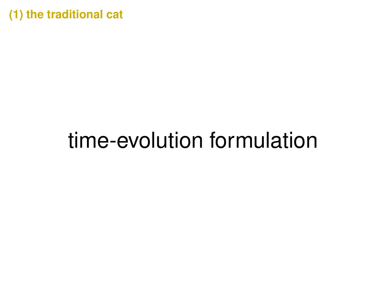**(1) the traditional cat**

## time-evolution formulation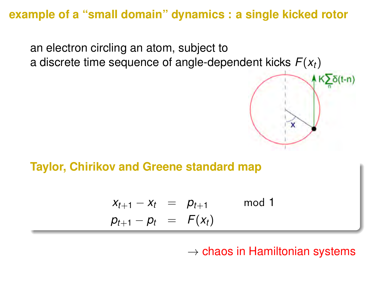### **example of a "small domain" dynamics : a single kicked rotor**

an electron circling an atom, subject to a discrete time sequence of angle-dependent kicks *F*(*xt*)



**Taylor, Chirikov and Greene standard map**

$$
x_{t+1} - x_t = p_{t+1} \text{ mod } 1
$$
  

$$
p_{t+1} - p_t = F(x_t)
$$

#### $\rightarrow$  chaos in Hamiltonian systems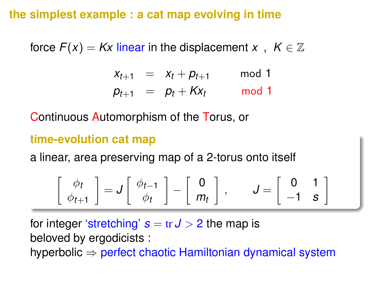#### **the simplest example : a cat map evolving in time**

force  $F(x) = Kx$  linear in the displacement *x*,  $K \in \mathbb{Z}$ 

 $x_{t+1} = x_t + p_{t+1}$  mod 1  $p_{t+1}$  =  $p_t$  +  $Kx_t$  mod 1

## Continuous Automorphism of the Torus, or

## **time-evolution cat map**

a linear, area preserving map of a 2-torus onto itself

$$
\left[\begin{array}{c} \phi_t \\ \phi_{t+1} \end{array}\right] = J \left[\begin{array}{c} \phi_{t-1} \\ \phi_t \end{array}\right] - \left[\begin{array}{c} 0 \\ m_t \end{array}\right], \quad J = \left[\begin{array}{cc} 0 & 1 \\ -1 & s \end{array}\right]
$$

for integer 'stretching'  $s = \text{tr } J > 2$  the map is beloved by ergodicists : hyperbolic  $\Rightarrow$  perfect chaotic Hamiltonian dynamical system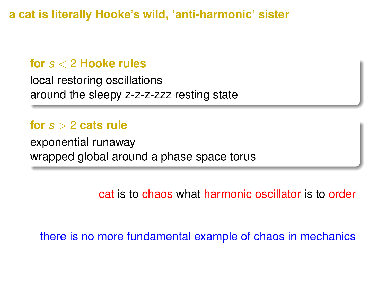**a cat is literally Hooke's wild, 'anti-harmonic' sister**

## **for** *s* < 2 **Hooke rules**

local restoring oscillations around the sleepy z-z-z-zzz resting state

#### **for** *s* > 2 **cats rule**

exponential runaway wrapped global around a phase space torus

cat is to chaos what harmonic oscillator is to order

there is no more fundamental example of chaos in mechanics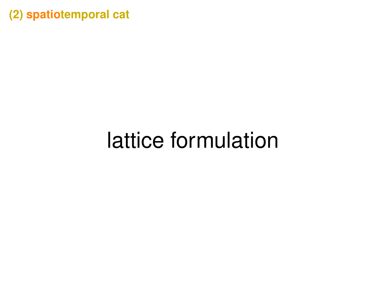**(2) spatiotemporal cat**

## lattice formulation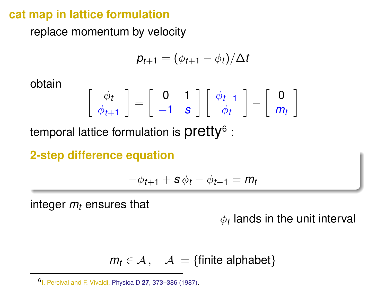#### **cat map in lattice formulation**

replace momentum by velocity

$$
p_{t+1} = (\phi_{t+1} - \phi_t)/\Delta t
$$

obtain

$$
\left[\begin{array}{c} \phi_t \\ \phi_{t+1} \end{array}\right] = \left[\begin{array}{cc} 0 & 1 \\ -1 & s \end{array}\right] \left[\begin{array}{c} \phi_{t-1} \\ \phi_t \end{array}\right] - \left[\begin{array}{c} 0 \\ m_t \end{array}\right]
$$

temporal lattice formulation is  $\mathsf{pretty}^{\mathsf{6}}$  :

**2-step difference equation**

$$
-\phi_{t+1} + s\phi_t - \phi_{t-1} = m_t
$$

integer *m<sup>t</sup>* ensures that

 $\phi_t$  lands in the unit interval

$$
m_t \in \mathcal{A}, \quad \mathcal{A} = \{\text{finite alphabet}\}
$$

<sup>6</sup> I. Percival and F. Vivaldi, Physica D **27**[, 373–386 \(1987\).](https://doi.org/10.1016/0167-2789(87)90037-6)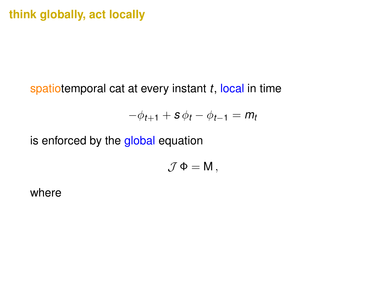## spatiotemporal cat at every instant *t*, local in time

$$
-\phi_{t+1} + s\phi_t - \phi_{t-1} = m_t
$$

is enforced by the global equation

$$
\mathcal{J}\,\Phi=M\,,
$$

where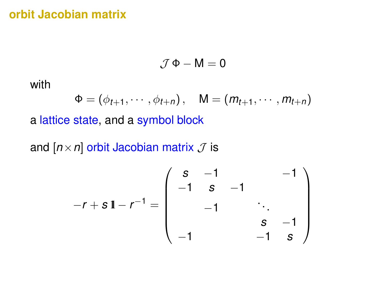#### **orbit Jacobian matrix**

$$
\mathcal{J}\,\Phi-M=0
$$

with

$$
\Phi=(\phi_{t+1},\cdots,\phi_{t+n}),\quad M=(m_{t+1},\cdots,m_{t+n})
$$

a lattice state, and a symbol block

and  $[n \times n]$  orbit Jacobian matrix  $\mathcal J$  is

$$
-r + s \mathbb{1} - r^{-1} = \begin{pmatrix} s & -1 & & -1 \\ -1 & s & -1 & & \\ & -1 & & \ddots & \\ & & & s & -1 \\ -1 & & & -1 & s \end{pmatrix}
$$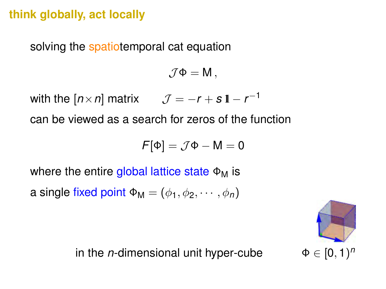## **think globally, act locally**

solving the spatiotemporal cat equation

 $J\Phi = M$ .

with the  $[n \times n]$  matrix  $\mathcal{J} = -r + s\,\mathbf{1} - r^{-1}$ can be viewed as a search for zeros of the function

$$
F[\Phi]=\mathcal{J}\Phi-M=0
$$

where the entire global lattice state  $\Phi_M$  is a single fixed point  $\Phi_M = (\phi_1, \phi_2, \cdots, \phi_n)$ 

in the *n*-dimensional unit hyper-cube

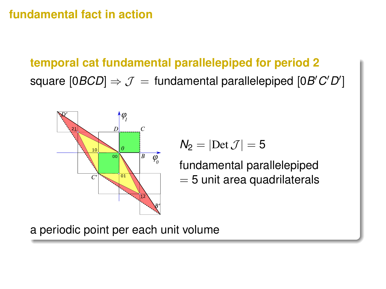#### **fundamental fact in action**

**temporal cat fundamental parallelepiped for period 2** square  $[0BCD] \Rightarrow J = {\hbox{fundamental parallelepiped}}\;[0B'C'D']$ 



$$
\textit{N}_2=|\text{Det}\,\mathcal{J}|=5
$$

fundamental parallelepiped  $=$  5 unit area quadrilaterals

a periodic point per each unit volume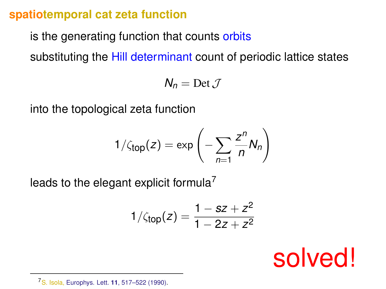#### **spatiotemporal cat zeta function**

is the generating function that counts orbits

substituting the Hill determinant count of periodic lattice states

 $N_n = \text{Det} \mathcal{J}$ 

into the topological zeta function

$$
1/\zeta_{\text{top}}(z) = \exp\left(-\sum_{n=1}^{\infty} \frac{z^n}{n} N_n\right)
$$

leads to the elegant explicit formula<sup>7</sup>

$$
1/\zeta_{top}(z) = \frac{1 - sz + z^2}{1 - 2z + z^2}
$$

# solved!

<sup>7</sup>S. Isola, Europhys. Lett. **11**[, 517–522 \(1990\).](https://doi.org/10.1209/0295-5075/11/6/006)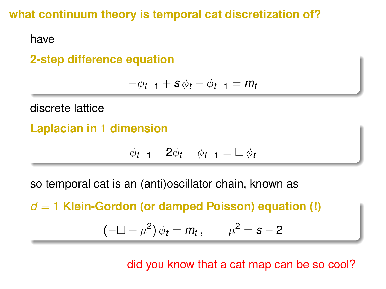## **what continuum theory is temporal cat discretization of?**

#### have

**2-step difference equation**

$$
-\phi_{t+1} + s\phi_t - \phi_{t-1} = m_t
$$

discrete lattice

**Laplacian in** 1 **dimension**

$$
\phi_{t+1} - 2\phi_t + \phi_{t-1} = \Box \phi_t
$$

so temporal cat is an (anti)oscillator chain, known as

*d* = 1 **Klein-Gordon (or damped Poisson) equation (!)**

$$
(-\Box + \mu^2)\,\phi_t = m_t\,,\qquad \mu^2 = s - 2
$$

did you know that a cat map can be so cool?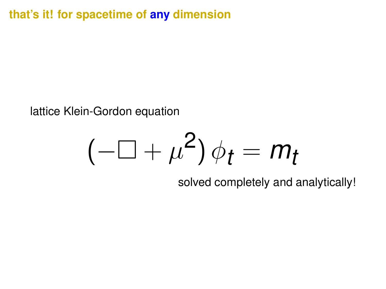**that's it! for spacetime of any dimension**

lattice Klein-Gordon equation

$$
(-\Box + \mu^2)\phi_t = m_t
$$

solved completely and analytically!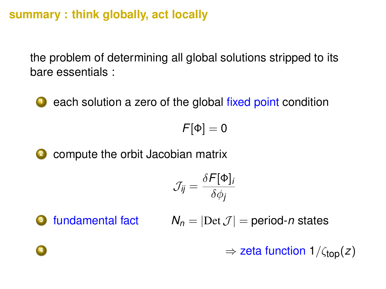**summary : think globally, act locally**

the problem of determining all global solutions stripped to its bare essentials :

**<sup>1</sup>** each solution a zero of the global fixed point condition

 $F[\Phi] = 0$ 

**<sup>2</sup>** compute the orbit Jacobian matrix

$$
\mathcal{J}_{ij} = \frac{\delta F[\Phi]_i}{\delta \phi_j}
$$

**3** fundamental fact  $N_n = |\text{Det }\mathcal{J}| =$  period-*n* states

 $\Rightarrow$  zeta function  $1/\zeta_{\text{top}}(z)$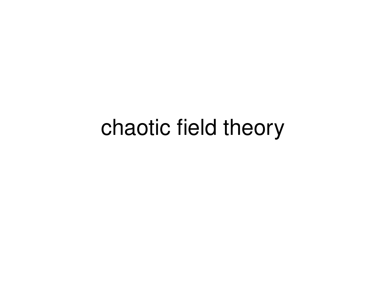## chaotic field theory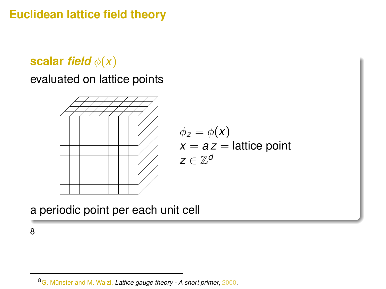## **Euclidean lattice field theory**

## **scalar** *field*  $\phi(x)$

evaluated on lattice points



$$
\begin{array}{l}\n\phi_z = \phi(x) \\
x = az = \text{lattice point} \\
z \in \mathbb{Z}^d\n\end{array}
$$

a periodic point per each unit cell

8

<sup>8</sup>G. Münster and M. Walzl, *Lattice gauge theory - A short primer*, 2000.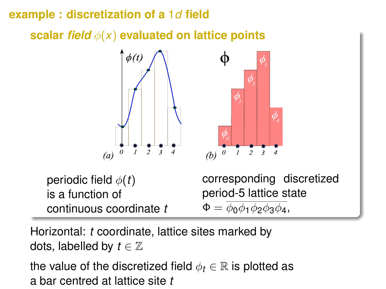## **example : discretization of a** 1*d* **field**

**scalar** *field* φ(*x*) **evaluated on lattice points**



Horizontal: *t* coordinate, lattice sites marked by dots, labelled by  $t \in \mathbb{Z}$ 

the value of the discretized field  $\phi_t \in \mathbb{R}$  is plotted as a bar centred at lattice site *t*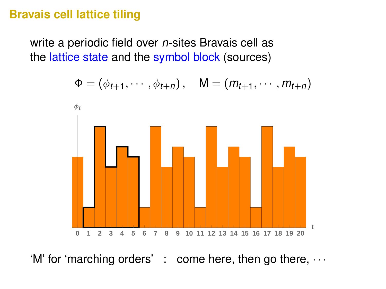### **Bravais cell lattice tiling**

write a periodic field over *n*-sites Bravais cell as the lattice state and the symbol block (sources)

$$
\Phi=(\phi_{t+1},\cdots,\phi_{t+n}),\quad M=(m_{t+1},\cdots,m_{t+n})
$$



'M' for 'marching orders' : come here, then go there,  $\cdots$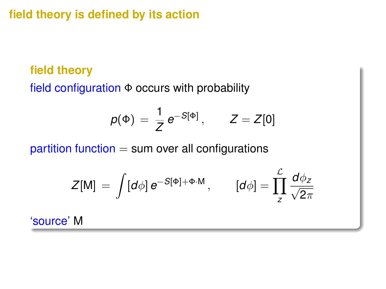**field theory is defined by its action**

**field theory** field configuration  $\Phi$  occurs with probability

$$
p(\Phi) = \frac{1}{Z} e^{-S[\Phi]}, \qquad Z = Z[0]
$$

 $partition function = sum over all configurations$ 

$$
Z[\mathsf{M}] = \int [d\phi] \, e^{-S[\Phi] + \Phi \cdot \mathsf{M}}, \qquad [d\phi] = \prod_{z}^{\mathcal{L}} \frac{d\phi_{z}}{\sqrt{2\pi}}
$$

'source' M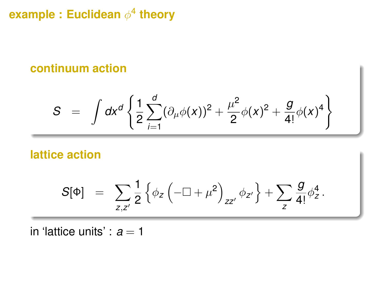**example : Euclidean** φ 4 **theory**

## **continuum action**

$$
S = \int dx^{d} \left\{ \frac{1}{2} \sum_{i=1}^{d} (\partial_{\mu} \phi(x))^{2} + \frac{\mu^{2}}{2} \phi(x)^{2} + \frac{g}{4!} \phi(x)^{4} \right\}
$$

#### **lattice action**

$$
S[\Phi] = \sum_{z,z'} \frac{1}{2} \left\{ \phi_z \left( -\Box + \mu^2 \right)_{zz'} \phi_{z'} \right\} + \sum_z \frac{g}{4!} \phi_z^4.
$$

in 'lattice units' :  $a = 1$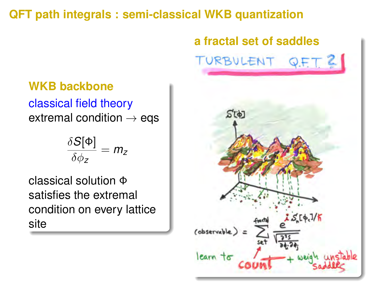## **QFT path integrals : semi-classical WKB quantization**

**WKB backbone**

classical field theory extremal condition  $\rightarrow$  eqs

$$
\frac{\delta S[\Phi]}{\delta \phi_z} = m_z
$$

classical solution Φ satisfies the extremal condition on every lattice site

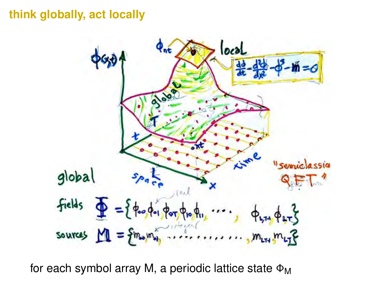### **think globally, act locally**



for each symbol array M, a periodic lattice state  $\Phi_M$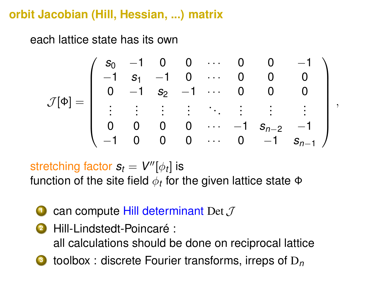#### **orbit Jacobian (Hill, Hessian, ...) matrix**

each lattice state has its own

$$
\mathcal{J}[\Phi]=\left(\begin{array}{ccccccccc}S_0&-1&0&0&\cdots&0&0&-1\\-1&s_1&-1&0&\cdots&0&0&0\\0&-1&s_2&-1&\cdots&0&0&0\\ \vdots&\vdots&\vdots&\vdots&\ddots&\vdots&\vdots&\vdots\\0&0&0&0&\cdots&-1&s_{n-2}&-1\\-1&0&0&0&\cdots&0&-1&s_{n-1}\end{array}\right),
$$

stretching factor  $s_t = V''[\phi_t]$  is function of the site field  $\phi_t$  for the given lattice state  $\Phi$ 

- can compute Hill determinant Det  $\mathcal{J}$
- **<sup>2</sup>** Hill-Lindstedt-Poincaré : all calculations should be done on reciprocal lattice
- **<sup>3</sup>** toolbox : discrete Fourier transforms, irreps of D*<sup>n</sup>*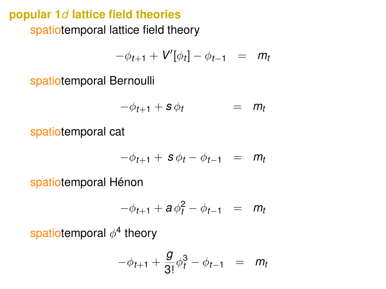#### **popular 1***d* **lattice field theories**

spatiotemporal lattice field theory

$$
-\phi_{t+1} + V'[\phi_t] - \phi_{t-1} = m_t
$$

spatiotemporal Bernoulli

$$
-\phi_{t+1} + s\,\phi_t = m_t
$$

spatiotemporal cat

$$
-\phi_{t+1} + s\phi_t - \phi_{t-1} = m_t
$$

spatiotemporal Hénon

$$
-\phi_{t+1} + a\phi_t^2 - \phi_{t-1} = m_t
$$

spatiotemporal  $\phi^{\texttt{4}}$  theory

$$
-\phi_{t+1} + \frac{g}{3!} \phi_t^3 - \phi_{t-1} = m_t
$$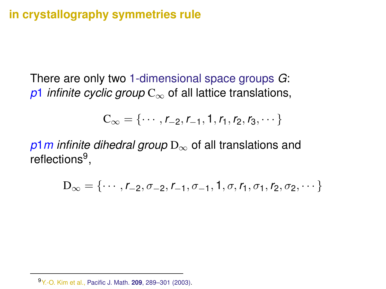There are only two [1-dimensional space groups](https://en.wikipedia.org/wiki/Line_group) *G*: *p*1 *infinite cyclic group* C<sub>∞</sub> of all lattice translations,

$$
C_{\infty} = \{\cdots, r_{-2}, r_{-1}, 1, r_1, r_2, r_3, \cdots\}
$$

*p*1*m infinite dihedral group* D<sub>∞</sub> of all translations and reflections<sup>9</sup>,

$$
D_{\infty} = \{\cdots, r_{-2}, \sigma_{-2}, r_{-1}, \sigma_{-1}, 1, \sigma, r_1, \sigma_1, r_2, \sigma_2, \cdots\}
$$

<sup>9</sup>Y.-O. Kim et al., Pacific J. Math. **209**[, 289–301 \(2003\).](https://doi.org/10.2140/pjm.2003.209.289)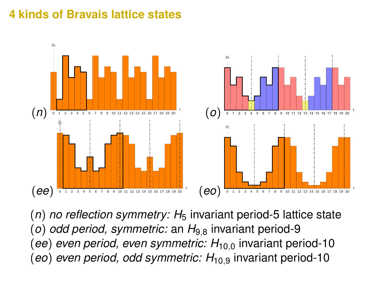## **4 kinds of Bravais lattice states**



(*n*) *no reflection symmetry: H*<sup>5</sup> invariant period-5 lattice state (*o*) *odd period, symmetric:* an *H*9,<sup>8</sup> invariant period-9 (*ee*) *even period, even symmetric: H*10,<sup>0</sup> invariant period-10 (*eo*) *even period, odd symmetric: H*10,<sup>9</sup> invariant period-10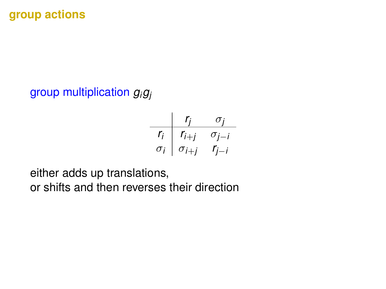#### **group actions**

## group multiplication *gig<sup>j</sup>*

$$
\begin{array}{c|cc}\n & r_j & \sigma_j \\
\hline\n r_i & r_{i+j} & \sigma_{j-i} \\
\sigma_i & \sigma_{i+j} & r_{j-i}\n\end{array}
$$

either adds up translations,

or shifts and then reverses their direction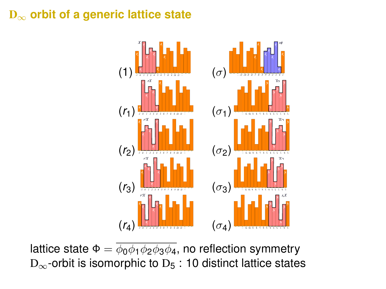## D<sup>∞</sup> **orbit of a generic lattice state**



lattice state  $\Phi = \overline{\phi_0 \phi_1 \phi_2 \phi_3 \phi_4}$ , no reflection symmetry  $D_{\infty}$ -orbit is isomorphic to  $D_5$ : 10 distinct lattice states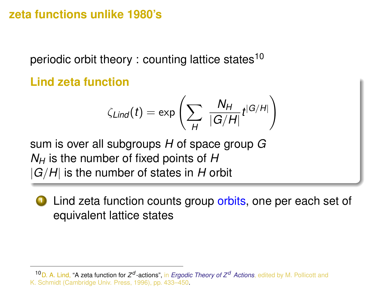#### **zeta functions unlike 1980's**

periodic orbit theory : counting lattice states<sup>10</sup>

**Lind zeta function**

$$
\zeta_{\text{Lind}}(t) = \exp\left(\sum_{H} \frac{N_H}{|G/H|} t^{|G/H|}\right)
$$

sum is over all subgroups *H* of space group *G N<sup>H</sup>* is the number of fixed points of *H* |*G*/*H*| is the number of states in *H* orbit

**<sup>1</sup>** Lind zeta function counts group orbits, one per each set of equivalent lattice states

<sup>&</sup>lt;sup>10</sup>D. A. Lind, "A zeta function for Z<sup>d</sup>-actions", in *[Ergodic Theory of Z](https://doi.org/10.1017/CBO9780511662812.019)<sup>d</sup> Actions*, edited by M. Pollicott and K. Schmidt (Cambridge Univ. Press, 1996), pp. 433–450.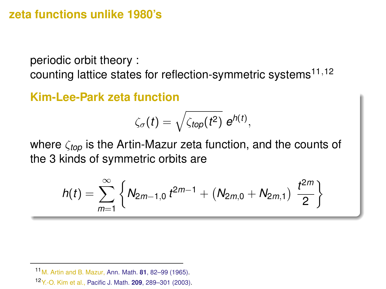#### **zeta functions unlike 1980's**

periodic orbit theory :

counting lattice states for reflection-symmetric systems<sup>11,12</sup>

**Kim-Lee-Park zeta function**

$$
\zeta_{\sigma}(t)=\sqrt{\zeta_{\textit{top}}(t^2)}\,\,e^{h(t)},
$$

where ζ*top* is the Artin-Mazur zeta function, and the counts of the 3 kinds of symmetric orbits are

$$
h(t) = \sum_{m=1}^{\infty} \left\{ N_{2m-1,0} t^{2m-1} + (N_{2m,0} + N_{2m,1}) \frac{t^{2m}}{2} \right\}
$$

<sup>11</sup>M. Artin and B. Mazur, Ann. Math. **81**[, 82–99 \(1965\).](http://www.jstor.org/stable/1970384)

<sup>12</sup>Y.-O. Kim et al., Pacific J. Math. **209**[, 289–301 \(2003\).](https://doi.org/10.2140/pjm.2003.209.289)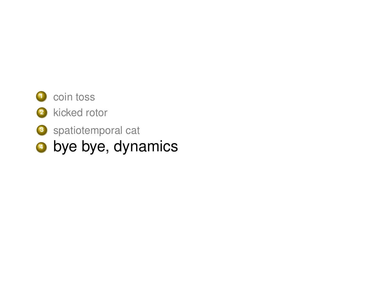## coin toss

### kicked rotor

- spatiotemporal cat
- bye bye, dynamics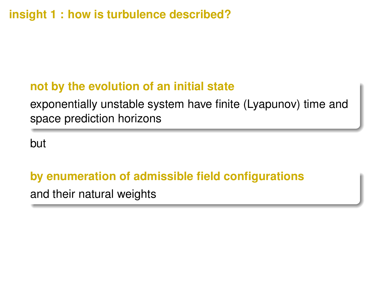**insight 1 : how is turbulence described?**

## **not by the evolution of an initial state**

exponentially unstable system have finite (Lyapunov) time and space prediction horizons

but

## **by enumeration of admissible field configurations** and their natural weights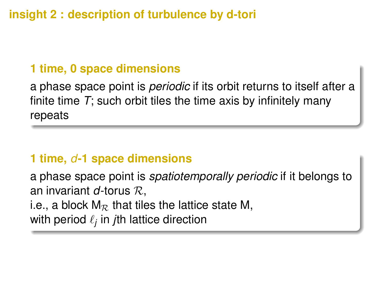### **insight 2 : description of turbulence by d-tori**

#### **1 time, 0 space dimensions**

a phase space point is *periodic* if its orbit returns to itself after a finite time *T*; such orbit tiles the time axis by infinitely many repeats

#### **1 time,** *d***-1 space dimensions**

a phase space point is *spatiotemporally periodic* if it belongs to an invariant *d*-torus R, i.e., a block  $M_{\mathcal{R}}$  that tiles the lattice state M, with period  $\ell_j$  in *j*th lattice direction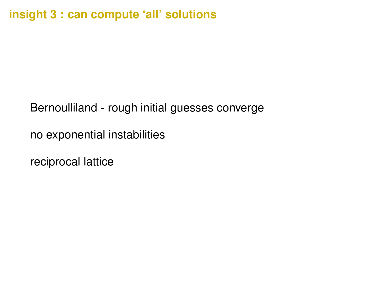Bernoulliland - rough initial guesses converge

no exponential instabilities

reciprocal lattice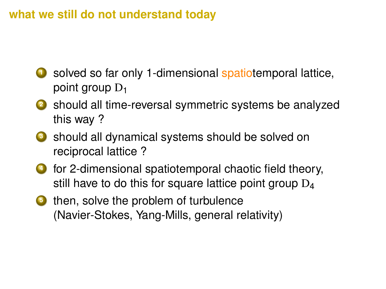#### **what we still do not understand today**

- **1** solved so far only 1-dimensional spatiotemporal lattice, point group  $D_1$
- **<sup>2</sup>** should all time-reversal symmetric systems be analyzed this way ?
- **<sup>3</sup>** should all dynamical systems should be solved on reciprocal lattice ?
- **<sup>4</sup>** for 2-dimensional spatiotemporal chaotic field theory, still have to do this for square lattice point group  $D_4$
- **5** then, solve the problem of turbulence (Navier-Stokes, Yang-Mills, general relativity)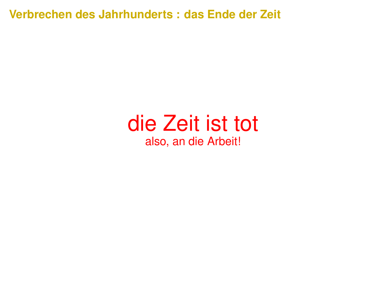**Verbrechen des Jahrhunderts : das Ende der Zeit**

# die Zeit ist tot also, an die Arbeit!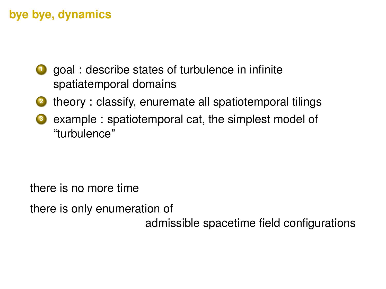## **bye bye, dynamics**

- **<sup>1</sup>** goal : describe states of turbulence in infinite spatiatemporal domains
- **<sup>2</sup>** theory : classify, enuremate all spatiotemporal tilings
- **<sup>3</sup>** example : spatiotemporal cat, the simplest model of "turbulence"

there is no more time

there is only enumeration of

admissible spacetime field configurations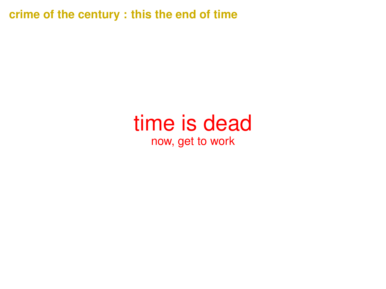**crime of the century : this the end of time**

# time is dead now, get to work